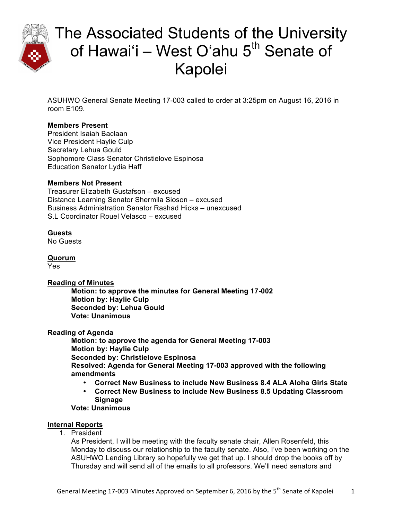

ASUHWO General Senate Meeting 17-003 called to order at 3:25pm on August 16, 2016 in room E109.

### **Members Present**

President Isaiah Baclaan Vice President Haylie Culp Secretary Lehua Gould Sophomore Class Senator Christielove Espinosa Education Senator Lydia Haff

#### **Members Not Present**

Treasurer Elizabeth Gustafson – excused Distance Learning Senator Shermila Sioson – excused Business Administration Senator Rashad Hicks – unexcused S.L Coordinator Rouel Velasco – excused

### **Guests**

No Guests

**Quorum** Yes

#### **Reading of Minutes**

**Motion: to approve the minutes for General Meeting 17-002 Motion by: Haylie Culp Seconded by: Lehua Gould Vote: Unanimous** 

#### **Reading of Agenda**

**Motion: to approve the agenda for General Meeting 17-003 Motion by: Haylie Culp Seconded by: Christielove Espinosa Resolved: Agenda for General Meeting 17-003 approved with the following amendments** 

- **Correct New Business to include New Business 8.4 ALA Aloha Girls State**
- **Correct New Business to include New Business 8.5 Updating Classroom Signage**

**Vote: Unanimous**

#### **Internal Reports**

1. President

As President, I will be meeting with the faculty senate chair, Allen Rosenfeld, this Monday to discuss our relationship to the faculty senate. Also, I've been working on the ASUHWO Lending Library so hopefully we get that up. I should drop the books off by Thursday and will send all of the emails to all professors. We'll need senators and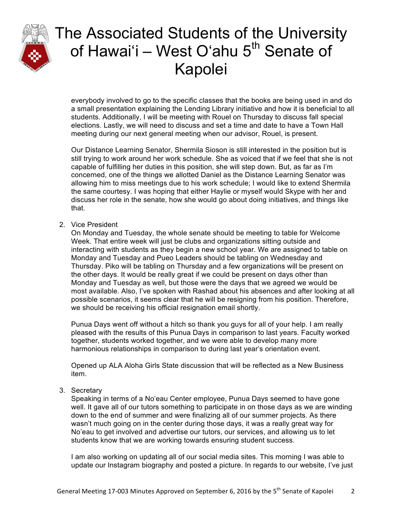

everybody involved to go to the specific classes that the books are being used in and do a small presentation explaining the Lending Library initiative and how it is beneficial to all students. Additionally, I will be meeting with Rouel on Thursday to discuss fall special elections. Lastly, we will need to discuss and set a time and date to have a Town Hall meeting during our next general meeting when our advisor, Rouel, is present.

Our Distance Learning Senator, Shermila Sioson is still interested in the position but is still trying to work around her work schedule. She as voiced that if we feel that she is not capable of fulfilling her duties in this position, she will step down. But, as far as I'm concerned, one of the things we allotted Daniel as the Distance Learning Senator was allowing him to miss meetings due to his work schedule; I would like to extend Shermila the same courtesy. I was hoping that either Haylie or myself would Skype with her and discuss her role in the senate, how she would go about doing initiatives, and things like that.

2. Vice President

On Monday and Tuesday, the whole senate should be meeting to table for Welcome Week. That entire week will just be clubs and organizations sitting outside and interacting with students as they begin a new school year. We are assigned to table on Monday and Tuesday and Pueo Leaders should be tabling on Wednesday and Thursday. Piko will be tabling on Thursday and a few organizations will be present on the other days. It would be really great if we could be present on days other than Monday and Tuesday as well, but those were the days that we agreed we would be most available. Also, I've spoken with Rashad about his absences and after looking at all possible scenarios, it seems clear that he will be resigning from his position. Therefore, we should be receiving his official resignation email shortly.

Punua Days went off without a hitch so thank you guys for all of your help. I am really pleased with the results of this Punua Days in comparison to last years. Faculty worked together, students worked together, and we were able to develop many more harmonious relationships in comparison to during last year's orientation event.

Opened up ALA Aloha Girls State discussion that will be reflected as a New Business item.

3. Secretary

Speaking in terms of a No'eau Center employee, Punua Days seemed to have gone well. It gave all of our tutors something to participate in on those days as we are winding down to the end of summer and were finalizing all of our summer projects. As there wasn't much going on in the center during those days, it was a really great way for No'eau to get involved and advertise our tutors, our services, and allowing us to let students know that we are working towards ensuring student success.

I am also working on updating all of our social media sites. This morning I was able to update our Instagram biography and posted a picture. In regards to our website, I've just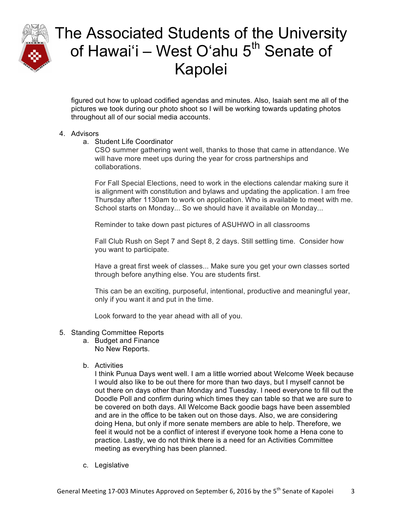

figured out how to upload codified agendas and minutes. Also, Isaiah sent me all of the pictures we took during our photo shoot so I will be working towards updating photos throughout all of our social media accounts.

#### 4. Advisors

a. Student Life Coordinator

CSO summer gathering went well, thanks to those that came in attendance. We will have more meet ups during the year for cross partnerships and collaborations.

For Fall Special Elections, need to work in the elections calendar making sure it is alignment with constitution and bylaws and updating the application. I am free Thursday after 1130am to work on application. Who is available to meet with me. School starts on Monday... So we should have it available on Monday...

Reminder to take down past pictures of ASUHWO in all classrooms

Fall Club Rush on Sept 7 and Sept 8, 2 days. Still settling time. Consider how you want to participate.

Have a great first week of classes... Make sure you get your own classes sorted through before anything else. You are students first.

This can be an exciting, purposeful, intentional, productive and meaningful year, only if you want it and put in the time.

Look forward to the year ahead with all of you.

- 5. Standing Committee Reports
	- a. Budget and Finance No New Reports.
	- b. Activities

I think Punua Days went well. I am a little worried about Welcome Week because I would also like to be out there for more than two days, but I myself cannot be out there on days other than Monday and Tuesday. I need everyone to fill out the Doodle Poll and confirm during which times they can table so that we are sure to be covered on both days. All Welcome Back goodie bags have been assembled and are in the office to be taken out on those days. Also, we are considering doing Hena, but only if more senate members are able to help. Therefore, we feel it would not be a conflict of interest if everyone took home a Hena cone to practice. Lastly, we do not think there is a need for an Activities Committee meeting as everything has been planned.

c. Legislative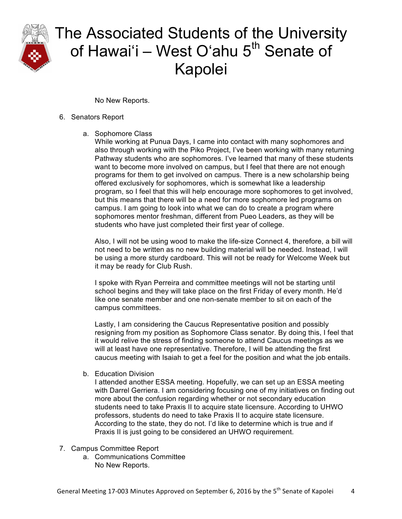

No New Reports.

#### 6. Senators Report

a. Sophomore Class

While working at Punua Days, I came into contact with many sophomores and also through working with the Piko Project, I've been working with many returning Pathway students who are sophomores. I've learned that many of these students want to become more involved on campus, but I feel that there are not enough programs for them to get involved on campus. There is a new scholarship being offered exclusively for sophomores, which is somewhat like a leadership program, so I feel that this will help encourage more sophomores to get involved, but this means that there will be a need for more sophomore led programs on campus. I am going to look into what we can do to create a program where sophomores mentor freshman, different from Pueo Leaders, as they will be students who have just completed their first year of college.

Also, I will not be using wood to make the life-size Connect 4, therefore, a bill will not need to be written as no new building material will be needed. Instead, I will be using a more sturdy cardboard. This will not be ready for Welcome Week but it may be ready for Club Rush.

I spoke with Ryan Perreira and committee meetings will not be starting until school begins and they will take place on the first Friday of every month. He'd like one senate member and one non-senate member to sit on each of the campus committees.

Lastly, I am considering the Caucus Representative position and possibly resigning from my position as Sophomore Class senator. By doing this, I feel that it would relive the stress of finding someone to attend Caucus meetings as we will at least have one representative. Therefore, I will be attending the first caucus meeting with Isaiah to get a feel for the position and what the job entails.

b. Education Division

I attended another ESSA meeting. Hopefully, we can set up an ESSA meeting with Darrel Gerriera. I am considering focusing one of my initiatives on finding out more about the confusion regarding whether or not secondary education students need to take Praxis II to acquire state licensure. According to UHWO professors, students do need to take Praxis II to acquire state licensure. According to the state, they do not. I'd like to determine which is true and if Praxis II is just going to be considered an UHWO requirement.

- 7. Campus Committee Report
	- a. Communications Committee No New Reports.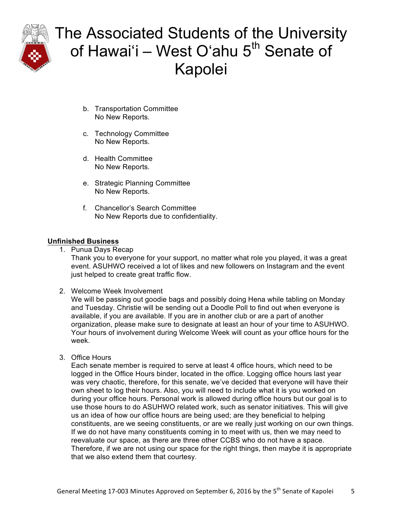

- b. Transportation Committee No New Reports.
- c. Technology Committee No New Reports.
- d. Health Committee No New Reports.
- e. Strategic Planning Committee No New Reports.
- f. Chancellor's Search Committee No New Reports due to confidentiality.

### **Unfinished Business**

1. Punua Days Recap

Thank you to everyone for your support, no matter what role you played, it was a great event. ASUHWO received a lot of likes and new followers on Instagram and the event just helped to create great traffic flow.

2. Welcome Week Involvement

We will be passing out goodie bags and possibly doing Hena while tabling on Monday and Tuesday. Christie will be sending out a Doodle Poll to find out when everyone is available, if you are available. If you are in another club or are a part of another organization, please make sure to designate at least an hour of your time to ASUHWO. Your hours of involvement during Welcome Week will count as your office hours for the week.

3. Office Hours

Each senate member is required to serve at least 4 office hours, which need to be logged in the Office Hours binder, located in the office. Logging office hours last year was very chaotic, therefore, for this senate, we've decided that everyone will have their own sheet to log their hours. Also, you will need to include what it is you worked on during your office hours. Personal work is allowed during office hours but our goal is to use those hours to do ASUHWO related work, such as senator initiatives. This will give us an idea of how our office hours are being used; are they beneficial to helping constituents, are we seeing constituents, or are we really just working on our own things. If we do not have many constituents coming in to meet with us, then we may need to reevaluate our space, as there are three other CCBS who do not have a space. Therefore, if we are not using our space for the right things, then maybe it is appropriate that we also extend them that courtesy.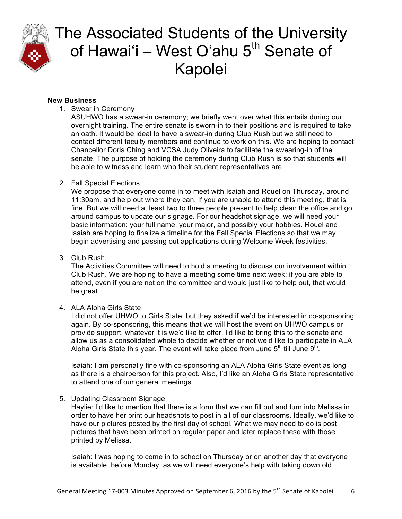

#### **New Business**

1. Swear in Ceremony

ASUHWO has a swear-in ceremony; we briefly went over what this entails during our overnight training. The entire senate is sworn-in to their positions and is required to take an oath. It would be ideal to have a swear-in during Club Rush but we still need to contact different faculty members and continue to work on this. We are hoping to contact Chancellor Doris Ching and VCSA Judy Oliveira to facilitate the swearing-in of the senate. The purpose of holding the ceremony during Club Rush is so that students will be able to witness and learn who their student representatives are.

### 2. Fall Special Elections

We propose that everyone come in to meet with Isaiah and Rouel on Thursday, around 11:30am, and help out where they can. If you are unable to attend this meeting, that is fine. But we will need at least two to three people present to help clean the office and go around campus to update our signage. For our headshot signage, we will need your basic information: your full name, your major, and possibly your hobbies. Rouel and Isaiah are hoping to finalize a timeline for the Fall Special Elections so that we may begin advertising and passing out applications during Welcome Week festivities.

3. Club Rush

The Activities Committee will need to hold a meeting to discuss our involvement within Club Rush. We are hoping to have a meeting some time next week; if you are able to attend, even if you are not on the committee and would just like to help out, that would be great.

4. ALA Aloha Girls State

I did not offer UHWO to Girls State, but they asked if we'd be interested in co-sponsoring again. By co-sponsoring, this means that we will host the event on UHWO campus or provide support, whatever it is we'd like to offer. I'd like to bring this to the senate and allow us as a consolidated whole to decide whether or not we'd like to participate in ALA Aloha Girls State this year. The event will take place from June  $5<sup>th</sup>$  till June  $9<sup>th</sup>$ .

Isaiah: I am personally fine with co-sponsoring an ALA Aloha Girls State event as long as there is a chairperson for this project. Also, I'd like an Aloha Girls State representative to attend one of our general meetings

### 5. Updating Classroom Signage

Haylie: I'd like to mention that there is a form that we can fill out and turn into Melissa in order to have her print our headshots to post in all of our classrooms. Ideally, we'd like to have our pictures posted by the first day of school. What we may need to do is post pictures that have been printed on regular paper and later replace these with those printed by Melissa.

Isaiah: I was hoping to come in to school on Thursday or on another day that everyone is available, before Monday, as we will need everyone's help with taking down old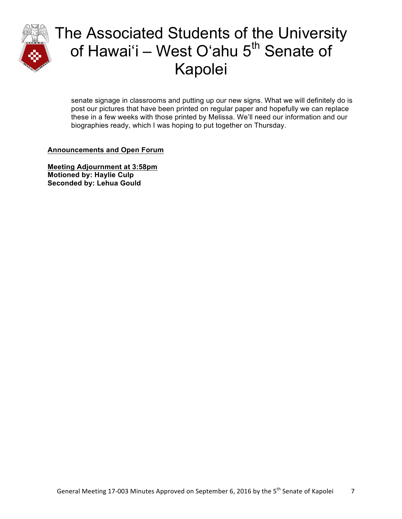

senate signage in classrooms and putting up our new signs. What we will definitely do is post our pictures that have been printed on regular paper and hopefully we can replace these in a few weeks with those printed by Melissa. We'll need our information and our biographies ready, which I was hoping to put together on Thursday.

### **Announcements and Open Forum**

**Meeting Adjournment at 3:58pm Motioned by: Haylie Culp Seconded by: Lehua Gould**